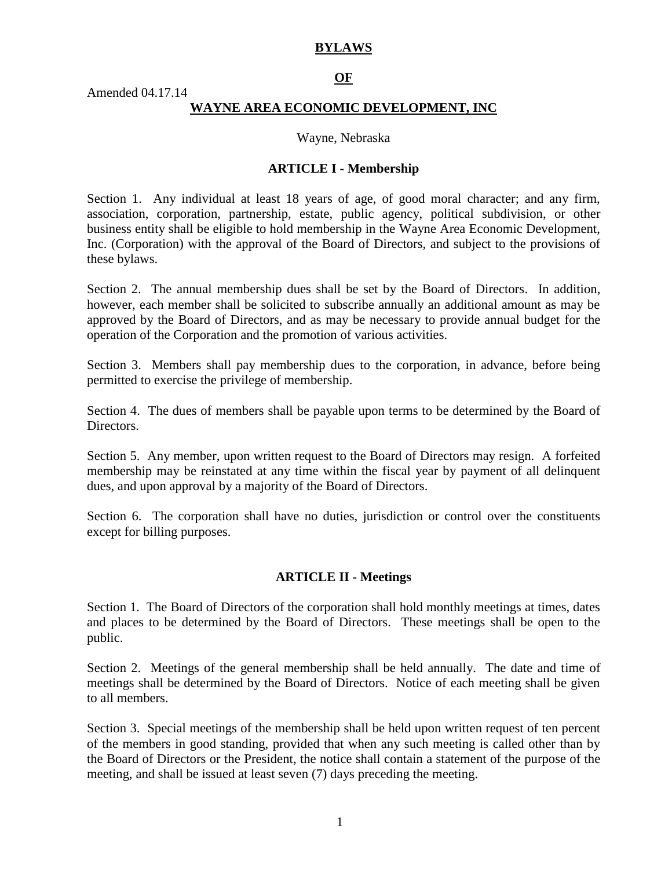## **BYLAWS**

## **OF**

Amended 04.17.14

### **WAYNE AREA ECONOMIC DEVELOPMENT, INC**

Wayne, Nebraska

#### **ARTICLE I - Membership**

Section 1. Any individual at least 18 years of age, of good moral character; and any firm, association, corporation, partnership, estate, public agency, political subdivision, or other business entity shall be eligible to hold membership in the Wayne Area Economic Development, Inc. (Corporation) with the approval of the Board of Directors, and subject to the provisions of these bylaws.

Section 2. The annual membership dues shall be set by the Board of Directors. In addition, however, each member shall be solicited to subscribe annually an additional amount as may be approved by the Board of Directors, and as may be necessary to provide annual budget for the operation of the Corporation and the promotion of various activities.

Section 3. Members shall pay membership dues to the corporation, in advance, before being permitted to exercise the privilege of membership.

Section 4. The dues of members shall be payable upon terms to be determined by the Board of Directors.

Section 5. Any member, upon written request to the Board of Directors may resign. A forfeited membership may be reinstated at any time within the fiscal year by payment of all delinquent dues, and upon approval by a majority of the Board of Directors.

Section 6. The corporation shall have no duties, jurisdiction or control over the constituents except for billing purposes.

#### **ARTICLE II - Meetings**

Section 1. The Board of Directors of the corporation shall hold monthly meetings at times, dates and places to be determined by the Board of Directors. These meetings shall be open to the public.

Section 2. Meetings of the general membership shall be held annually. The date and time of meetings shall be determined by the Board of Directors. Notice of each meeting shall be given to all members.

Section 3. Special meetings of the membership shall be held upon written request of ten percent of the members in good standing, provided that when any such meeting is called other than by the Board of Directors or the President, the notice shall contain a statement of the purpose of the meeting, and shall be issued at least seven (7) days preceding the meeting.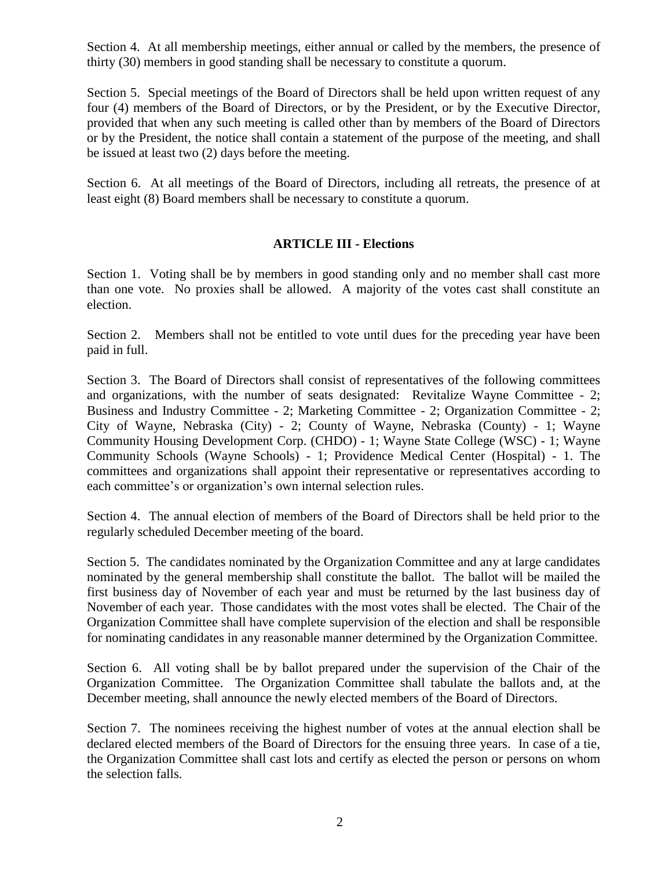Section 4. At all membership meetings, either annual or called by the members, the presence of thirty (30) members in good standing shall be necessary to constitute a quorum.

Section 5. Special meetings of the Board of Directors shall be held upon written request of any four (4) members of the Board of Directors, or by the President, or by the Executive Director, provided that when any such meeting is called other than by members of the Board of Directors or by the President, the notice shall contain a statement of the purpose of the meeting, and shall be issued at least two (2) days before the meeting.

Section 6. At all meetings of the Board of Directors, including all retreats, the presence of at least eight (8) Board members shall be necessary to constitute a quorum.

# **ARTICLE III - Elections**

Section 1. Voting shall be by members in good standing only and no member shall cast more than one vote. No proxies shall be allowed. A majority of the votes cast shall constitute an election.

Section 2. Members shall not be entitled to vote until dues for the preceding year have been paid in full.

Section 3. The Board of Directors shall consist of representatives of the following committees and organizations, with the number of seats designated: Revitalize Wayne Committee - 2; Business and Industry Committee - 2; Marketing Committee - 2; Organization Committee - 2; City of Wayne, Nebraska (City) - 2; County of Wayne, Nebraska (County) - 1; Wayne Community Housing Development Corp. (CHDO) - 1; Wayne State College (WSC) - 1; Wayne Community Schools (Wayne Schools) - 1; Providence Medical Center (Hospital) - 1. The committees and organizations shall appoint their representative or representatives according to each committee's or organization's own internal selection rules.

Section 4. The annual election of members of the Board of Directors shall be held prior to the regularly scheduled December meeting of the board.

Section 5. The candidates nominated by the Organization Committee and any at large candidates nominated by the general membership shall constitute the ballot. The ballot will be mailed the first business day of November of each year and must be returned by the last business day of November of each year. Those candidates with the most votes shall be elected. The Chair of the Organization Committee shall have complete supervision of the election and shall be responsible for nominating candidates in any reasonable manner determined by the Organization Committee.

Section 6. All voting shall be by ballot prepared under the supervision of the Chair of the Organization Committee. The Organization Committee shall tabulate the ballots and, at the December meeting, shall announce the newly elected members of the Board of Directors.

Section 7. The nominees receiving the highest number of votes at the annual election shall be declared elected members of the Board of Directors for the ensuing three years. In case of a tie, the Organization Committee shall cast lots and certify as elected the person or persons on whom the selection falls.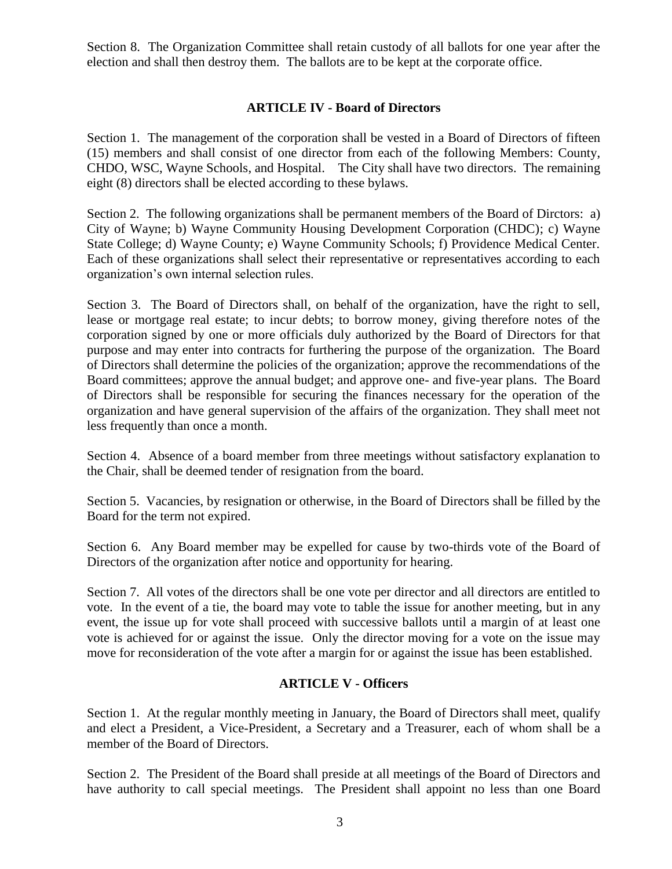Section 8. The Organization Committee shall retain custody of all ballots for one year after the election and shall then destroy them. The ballots are to be kept at the corporate office.

## **ARTICLE IV - Board of Directors**

Section 1. The management of the corporation shall be vested in a Board of Directors of fifteen (15) members and shall consist of one director from each of the following Members: County, CHDO, WSC, Wayne Schools, and Hospital. The City shall have two directors. The remaining eight (8) directors shall be elected according to these bylaws.

Section 2. The following organizations shall be permanent members of the Board of Dirctors: a) City of Wayne; b) Wayne Community Housing Development Corporation (CHDC); c) Wayne State College; d) Wayne County; e) Wayne Community Schools; f) Providence Medical Center. Each of these organizations shall select their representative or representatives according to each organization's own internal selection rules.

Section 3. The Board of Directors shall, on behalf of the organization, have the right to sell, lease or mortgage real estate; to incur debts; to borrow money, giving therefore notes of the corporation signed by one or more officials duly authorized by the Board of Directors for that purpose and may enter into contracts for furthering the purpose of the organization. The Board of Directors shall determine the policies of the organization; approve the recommendations of the Board committees; approve the annual budget; and approve one- and five-year plans. The Board of Directors shall be responsible for securing the finances necessary for the operation of the organization and have general supervision of the affairs of the organization. They shall meet not less frequently than once a month.

Section 4. Absence of a board member from three meetings without satisfactory explanation to the Chair, shall be deemed tender of resignation from the board.

Section 5. Vacancies, by resignation or otherwise, in the Board of Directors shall be filled by the Board for the term not expired.

Section 6. Any Board member may be expelled for cause by two-thirds vote of the Board of Directors of the organization after notice and opportunity for hearing.

Section 7. All votes of the directors shall be one vote per director and all directors are entitled to vote. In the event of a tie, the board may vote to table the issue for another meeting, but in any event, the issue up for vote shall proceed with successive ballots until a margin of at least one vote is achieved for or against the issue. Only the director moving for a vote on the issue may move for reconsideration of the vote after a margin for or against the issue has been established.

## **ARTICLE V - Officers**

Section 1. At the regular monthly meeting in January, the Board of Directors shall meet, qualify and elect a President, a Vice-President, a Secretary and a Treasurer, each of whom shall be a member of the Board of Directors.

Section 2. The President of the Board shall preside at all meetings of the Board of Directors and have authority to call special meetings. The President shall appoint no less than one Board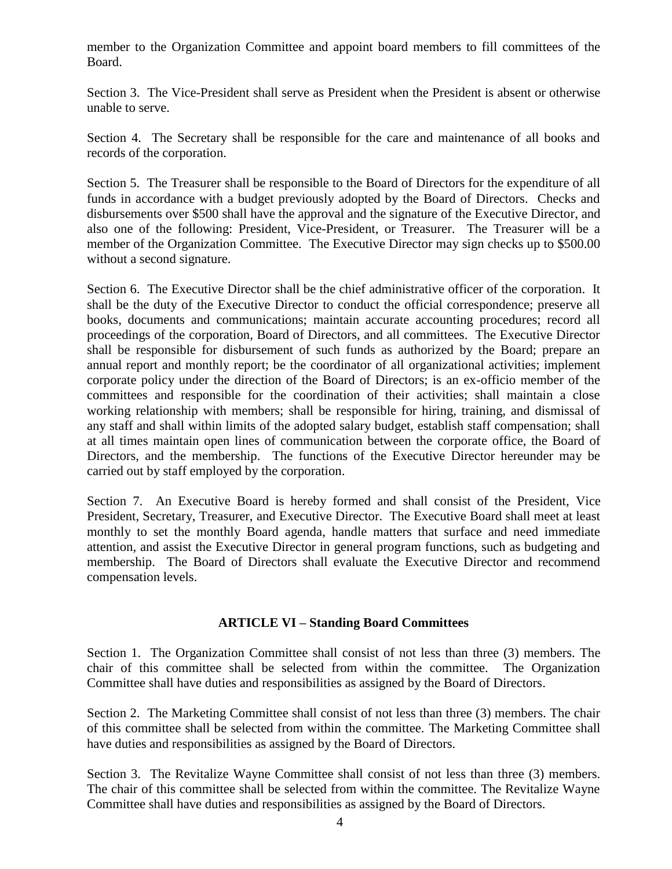member to the Organization Committee and appoint board members to fill committees of the Board.

Section 3. The Vice-President shall serve as President when the President is absent or otherwise unable to serve.

Section 4. The Secretary shall be responsible for the care and maintenance of all books and records of the corporation.

Section 5. The Treasurer shall be responsible to the Board of Directors for the expenditure of all funds in accordance with a budget previously adopted by the Board of Directors. Checks and disbursements over \$500 shall have the approval and the signature of the Executive Director, and also one of the following: President, Vice-President, or Treasurer. The Treasurer will be a member of the Organization Committee. The Executive Director may sign checks up to \$500.00 without a second signature.

Section 6. The Executive Director shall be the chief administrative officer of the corporation. It shall be the duty of the Executive Director to conduct the official correspondence; preserve all books, documents and communications; maintain accurate accounting procedures; record all proceedings of the corporation, Board of Directors, and all committees. The Executive Director shall be responsible for disbursement of such funds as authorized by the Board; prepare an annual report and monthly report; be the coordinator of all organizational activities; implement corporate policy under the direction of the Board of Directors; is an ex-officio member of the committees and responsible for the coordination of their activities; shall maintain a close working relationship with members; shall be responsible for hiring, training, and dismissal of any staff and shall within limits of the adopted salary budget, establish staff compensation; shall at all times maintain open lines of communication between the corporate office, the Board of Directors, and the membership. The functions of the Executive Director hereunder may be carried out by staff employed by the corporation.

Section 7. An Executive Board is hereby formed and shall consist of the President, Vice President, Secretary, Treasurer, and Executive Director. The Executive Board shall meet at least monthly to set the monthly Board agenda, handle matters that surface and need immediate attention, and assist the Executive Director in general program functions, such as budgeting and membership. The Board of Directors shall evaluate the Executive Director and recommend compensation levels.

## **ARTICLE VI – Standing Board Committees**

Section 1. The Organization Committee shall consist of not less than three (3) members. The chair of this committee shall be selected from within the committee. The Organization Committee shall have duties and responsibilities as assigned by the Board of Directors.

Section 2. The Marketing Committee shall consist of not less than three (3) members. The chair of this committee shall be selected from within the committee. The Marketing Committee shall have duties and responsibilities as assigned by the Board of Directors.

Section 3. The Revitalize Wayne Committee shall consist of not less than three (3) members. The chair of this committee shall be selected from within the committee. The Revitalize Wayne Committee shall have duties and responsibilities as assigned by the Board of Directors.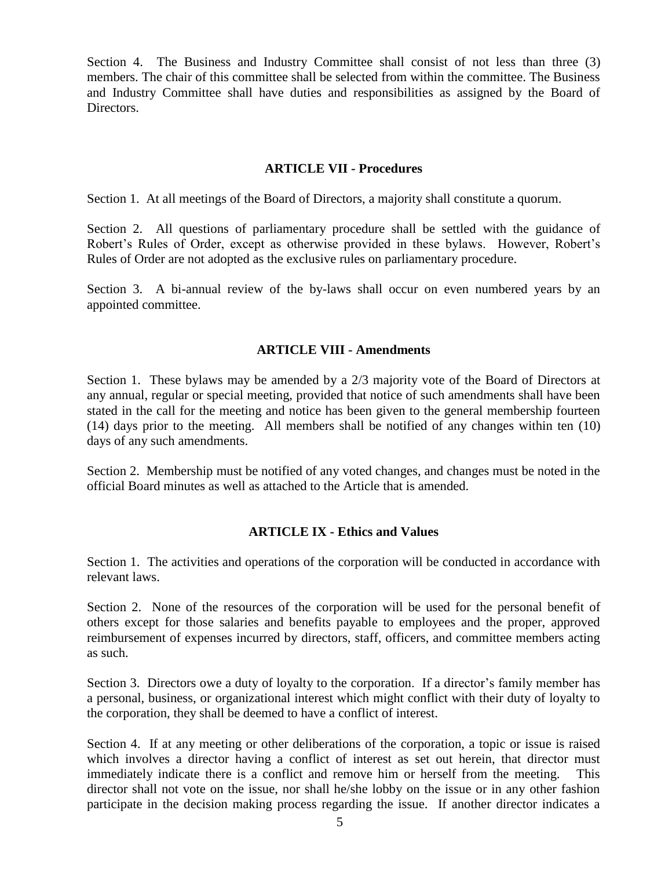Section 4. The Business and Industry Committee shall consist of not less than three (3) members. The chair of this committee shall be selected from within the committee. The Business and Industry Committee shall have duties and responsibilities as assigned by the Board of Directors.

## **ARTICLE VII - Procedures**

Section 1. At all meetings of the Board of Directors, a majority shall constitute a quorum.

Section 2. All questions of parliamentary procedure shall be settled with the guidance of Robert's Rules of Order, except as otherwise provided in these bylaws. However, Robert's Rules of Order are not adopted as the exclusive rules on parliamentary procedure.

Section 3. A bi-annual review of the by-laws shall occur on even numbered years by an appointed committee.

## **ARTICLE VIII - Amendments**

Section 1. These bylaws may be amended by a 2/3 majority vote of the Board of Directors at any annual, regular or special meeting, provided that notice of such amendments shall have been stated in the call for the meeting and notice has been given to the general membership fourteen (14) days prior to the meeting. All members shall be notified of any changes within ten (10) days of any such amendments.

Section 2. Membership must be notified of any voted changes, and changes must be noted in the official Board minutes as well as attached to the Article that is amended.

## **ARTICLE IX - Ethics and Values**

Section 1. The activities and operations of the corporation will be conducted in accordance with relevant laws.

Section 2. None of the resources of the corporation will be used for the personal benefit of others except for those salaries and benefits payable to employees and the proper, approved reimbursement of expenses incurred by directors, staff, officers, and committee members acting as such.

Section 3. Directors owe a duty of loyalty to the corporation. If a director's family member has a personal, business, or organizational interest which might conflict with their duty of loyalty to the corporation, they shall be deemed to have a conflict of interest.

Section 4. If at any meeting or other deliberations of the corporation, a topic or issue is raised which involves a director having a conflict of interest as set out herein, that director must immediately indicate there is a conflict and remove him or herself from the meeting. This director shall not vote on the issue, nor shall he/she lobby on the issue or in any other fashion participate in the decision making process regarding the issue. If another director indicates a